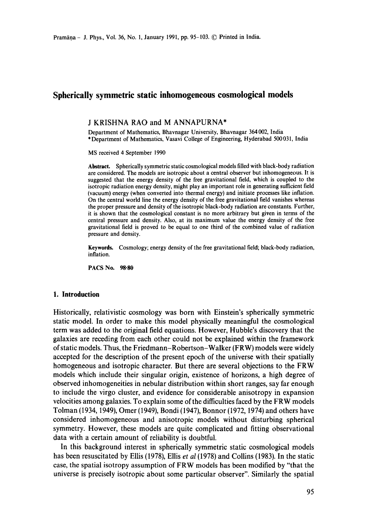# **Spherically symmetric static inhomogeneous cosmological models**

#### **J KRISHNA RAO and M ANNAPURNA\***

Department of Mathematics, Bhavnagar University, Bhavnagar 364 002, India \*Department of Mathematics, Vasavi College of Engineering, Hyderabad 500031, India

MS received 4 September 1990

**Abstract.** Spherically symmetric static cosmological models filled with black-body radiation are considered. The models are isotropic about a central observer but inhomogeneous. It is suggested that the energy density of the free gravitational field, which is coupled to the isotropic radiation energy density, might play an important role in generating sufficient field (vacuum) energy (when converted into thermal energy) and initiate processes like inflation. On the central world line the energy density of the free gravitational field vanishes whereas the proper pressure and density of the isotropic black-body radiation are constants. Further, it is shown that the cosmological constant is no more arbitrary but given in terms of the central pressure and density. Also, at its maximum value the energy density of the free gravitational field is proved to be equal to one third of the combined value of radiation pressure and density.

**Keywords.** Cosmology; energy density of the free gravitational field; black-body radiation, inflation.

PACS No. 98.80

#### **1. Introduction**

Historically, relativistic cosmology was born with Einstein's spherically symmetric static model. In order to make this model physically meaningful the cosmological term was added to the original field equations. However, Hubble's discovery that the galaxies are receding from each other could not be explained within the framework of static models. Thus, the Friedmann-Robertson-Walker (FRW) models were widely accepted for the description of the present epoch of the universe with their spatially homogeneous and isotropic character. But there are several objections to the FRW models which include their singular origin, existence of horizons, a high degree of observed inhomogeneities in nebular distribution within short ranges, say far enough to include the virgo cluster, and evidence for considerable anisotropy in expansion velocities among galaxies. To explain some of the difficulties faced by the FRW models Tolman (1934, 1949), Omer (1949), Bondi (1947), Bonnor (1972, 1974) and others have considered inhomogeneous and anisotropic models without disturbing spherical symmetry. However, these models are quite complicated and fitting observational data with a certain amount of reliability is doubtful.

In this background interest in spherically symmetric static cosmological models has been resuscitated by Ellis (1978), Ellis *et al* (1978) and Collins (1983). In the static case, the spatial isotropy assumption of FRW models has been modified by "that the universe is precisely isotropic about some particular observer". Similarly the spatial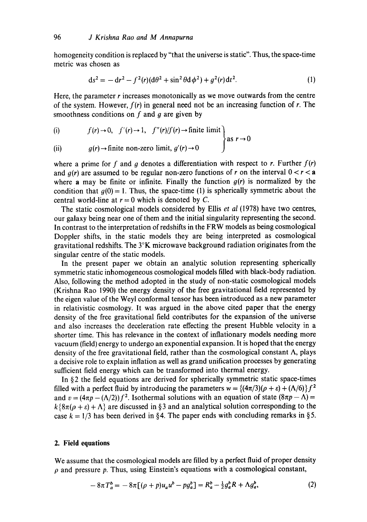homogeneity condition is replaced by "that the universe is static". Thus, the space-time metric was chosen as

$$
ds^{2} = -dr^{2} - f^{2}(r)(d\theta^{2} + \sin^{2}\theta d\phi^{2}) + g^{2}(r)dt^{2}.
$$
 (1)

Here, the parameter  $r$  increases monotonically as we move outwards from the centre of the system. However,  $f(r)$  in general need not be an increasing function of  $r$ . The smoothness conditions on  $f$  and  $g$  are given by

(i) 
$$
f(r) \to 0
$$
,  $f'(r) \to 1$ ,  $f''(r)/f(r) \to \text{finite limit}$  as  $r \to 0$ 

(ii) 
$$
g(r) \rightarrow
$$
 finite non-zero limit,  $g'(r) \rightarrow 0$ 

where a prime for  $f$  and  $g$  denotes a differentiation with respect to  $r$ . Further  $f(r)$ and  $g(r)$  are assumed to be regular non-zero functions of r on the interval  $0 < r < a$ where a may be finite or infinite. Finally the function  $g(r)$  is normalized by the condition that  $q(0) = 1$ . Thus, the space-time (1) is spherically symmetric about the central world-line at  $r = 0$  which is denoted by C.

The static cosmological models considered by Ellis *et al* (1978) have two centres, our galaxy being near one of them and the initial singularity representing the second. In contrast to the interpretation of redshifts in the FRW models as being cosmological Doppler shifts, in the static models they are being interpreted as cosmological gravitational redshifts. The  $3^\circ K$  microwave background radiation originates from the singular centre of the static models.

In the present paper we obtain an analytic solution representing spherically symmetric static inhomogeneous cosmological models filled with black-body radiation. Also, following the method adopted in the study of non-static cosmological models (Krishna Rao 1990) the energy density of the free gravitational field represented by the eigen value of the Weyl conformal tensor has been introduced as a new parameter in relativistic cosmology. It was argued in the above cited paper that the energy density of the free gravitational field contributes for the expansion of the universe and also increases the deceleration rate effecting the present Hubble velocity in a shorter time. This has relevance in the context of inflationary models needing more vacuum (field) energy to undergo an exponential expansion. It is hoped that the energy density of the free gravitational field, rather than the cosmological constant  $\Lambda$ , plays a decisive role to explain inflation as well as grand unification processes by generating sufficient field energy which can be transformed into thermal energy.

In §2 the field equations are derived for spherically symmetric static space-times filled with a perfect fluid by introducing the parameters  $w = \{(4\pi/3)(\rho + \varepsilon) + (\Lambda/6)\}f^2$ and  $v = (4\pi p - (\Lambda/2)) f^2$ . Isothermal solutions with an equation of state  $(8\pi p - \Lambda)$  =  $k{8\pi(\rho + \varepsilon) + \Lambda}$  are discussed in §3 and an analytical solution corresponding to the case  $k = 1/3$  has been derived in §4. The paper ends with concluding remarks in §5.

## **2. Field equations**

We assume that the cosmological models are filled by a perfect fluid of proper density  $\rho$  and pressure p. Thus, using Einstein's equations with a cosmological constant,

$$
-8\pi T_a^b = -8\pi [(\rho + p)u_a u^b - pg_a^b] = R_a^b - \frac{1}{2}g_a^b R + \Lambda g_a^b,
$$
 (2)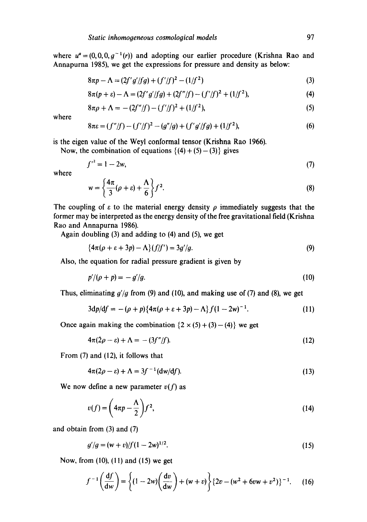where  $u^a = (0,0,0,g^{-1}(r))$  and adopting our earlier procedure (Krishna Rao and Annapurna 1985), we get the expressions for pressure and density as below:

$$
8\pi p - \Lambda = (2f'g'/fg) + (f'/f)^2 - (1/f^2)
$$
\n(3)

$$
8\pi(p+\varepsilon)-\Lambda = (2f'g'/fg) + (2f''/f) - (f'/f)^2 + (1/f^2),
$$
\n(4)

$$
8\pi\rho + \Lambda = -(2f''/f) - (f'/f)^2 + (1/f^2),
$$
\n(5)

where

$$
8\pi\varepsilon = (f''/f) - (f'/f)^2 - (g''/g) + (f'g'/fg) + (1/f^2),
$$
\n(6)

is the eigen value of the Weyl conformal tensor (Krishna Rao 1966).

Now, the combination of equations  $\{(4) + (5) - (3)\}\$  gives

$$
f'^2 = 1 - 2w,\t\t(7)
$$

where

$$
w = \left\{\frac{4\pi}{3}(\rho + \varepsilon) + \frac{\Lambda}{6}\right\}f^2.
$$
 (8)

The coupling of  $\varepsilon$  to the material energy density  $\rho$  immediately suggests that the former may be interpreted as the energy density of the free gravitational field (Krishna Rao and Annapurna 1986).

Again doubling (3) and adding to (4) and (5), we get

$$
\{4\pi(\rho+\varepsilon+3p)-\Lambda\}(f/f')=3g'/g.\tag{9}
$$

Also, the equation for radial pressure gradient is given by

$$
p' / (\rho + p) = -g'/g. \tag{10}
$$

Thus, eliminating *g'/g* from (9) and (10), and making use of (7) and (8), we get

$$
3dp/df = -(\rho + p)\{4\pi(\rho + \varepsilon + 3p) - \Lambda\}f(1 - 2w)^{-1}.
$$
 (11)

Once again making the combination  $\{2 \times (5) + (3) - (4)\}$  we get

$$
4\pi(2\rho - \varepsilon) + \Lambda = -(3f''/f). \tag{12}
$$

From (7) and (12), it follows that

$$
4\pi(2\rho - \varepsilon) + \Lambda = 3f^{-1}(\frac{dw}{df}).\tag{13}
$$

We now define a new parameter  $v(f)$  as

$$
v(f) = \left(4\pi p - \frac{\Lambda}{2}\right) f^2,\tag{14}
$$

and obtain from (3) and (7)

$$
g'/g = (w+v)/f(1-2w)^{1/2}.
$$
 (15)

Now, from (10), (I 1) and (15) we get

$$
f^{-1}\left(\frac{df}{dw}\right) = \left\{ (1-2w)\left(\frac{dv}{dw}\right) + (w+v) \right\} \{2v - (w^2 + 6vw + v^2)\}^{-1}.
$$
 (16)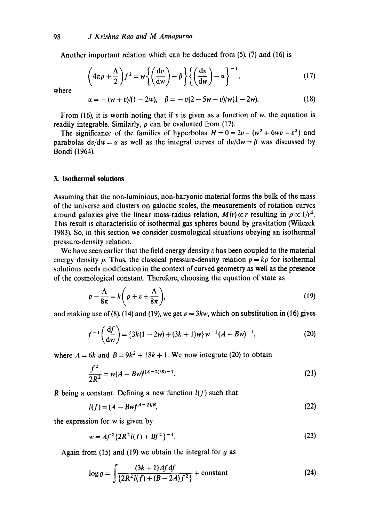Another important relation which can be deduced from (5), (7) and (16) is

$$
\left(4\pi\rho+\frac{\Lambda}{2}\right)f^2=w\left\{\left(\frac{\mathrm{d}v}{\mathrm{d}w}\right)-\beta\right\}\left\{\left(\frac{\mathrm{d}v}{\mathrm{d}w}\right)-\alpha\right\}^{-1},\tag{17}
$$

where

$$
\alpha = -(w+v)/(1-2w), \quad \beta = -v(2-5w-v)/w(1-2w). \tag{18}
$$

From (16), it is worth noting that if  $v$  is given as a function of  $w$ , the equation is readily integrable. Similarly,  $\rho$  can be evaluated from (17).

The significance of the families of hyperbolas  $H = 0 = 2v - (w^2 + 6wv + v^2)$  and parabolas  $dv/dw = \alpha$  as well as the integral curves of  $dv/dw = \beta$  was discussed by Bondi (1964).

#### **3. Isothermal solutions**

Assuming that the non-luminious, non-baryonic material forms the bulk of the mass of the universe and clusters on galactic scales, the measurements of rotation curves around galaxies give the linear mass-radius relation,  $M(r) \propto r$  resulting in  $\rho \propto 1/r^2$ . This result is characteristic of isothermal gas spheres bound by gravitation (Wilczek 1983). So, in this section we consider cosmological situations obeying an isothermal pressure-density relation.

We have seen earlier that the field energy density  $\varepsilon$  has been coupled to the material energy density  $\rho$ . Thus, the classical pressure-density relation  $p = k\rho$  for isothermal solutions needs modification in the context of curved geometry as well as the presence of the cosmological constant. Therefore, choosing the equation of state as

$$
p - \frac{\Lambda}{8\pi} = k \bigg( \rho + \varepsilon + \frac{\Lambda}{8\pi} \bigg), \tag{19}
$$

and making use of (8), (14) and (19), we get  $v = 3kw$ , which on substitution in (16) gives

$$
f^{-1}\left(\frac{df}{dw}\right) = \left\{3k(1-2w) + (3k+1)w\right\}w^{-1}(A-Bw)^{-1},\tag{20}
$$

where  $A = 6k$  and  $B = 9k^2 + 18k + 1$ . We now integrate (20) to obtain

$$
\frac{f^2}{2R^2} = w(A - Bw)^{((A-2)/B)-1},\tag{21}
$$

R being a constant. Defining a new function  $l(f)$  such that

$$
l(f) = (A - Bw)^{(A - 2)/B},
$$
\n(22)

the expression for w is given by

$$
w = Af^2 \{2R^2l(f) + Bf^2\}^{-1}.
$$
 (23)

Again from (15) and (19) we obtain the integral for  $g$  as

$$
\log g = \int \frac{(3k+1)A f df}{\{2R^2 l(f) + (B-2A)f^2\}} + \text{constant}
$$
 (24)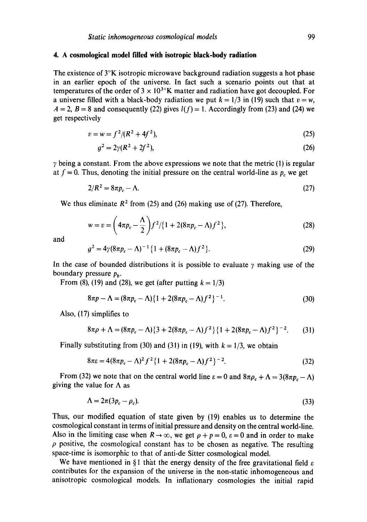#### **4. A cosmological model filled with isotropic black-body radiation**

The existence of  $3^\circ$ K isotropic microwave background radiation suggests a hot phase in an earlier epoch of the universe. In fact such a scenario points out that at temperatures of the order of  $3 \times 10^{3}$ °K matter and radiation have got decoupled. For a universe filled with a black-body radiation we put  $k = 1/3$  in (19) such that  $v = w$ ,  $A = 2$ ,  $B = 8$  and consequently (22) gives  $I(f) = 1$ . Accordingly from (23) and (24) we get respectively

$$
v = w = f^2 / (R^2 + 4f^2),
$$
\n(25)

$$
g^2 = 2\gamma (R^2 + 2f^2),\tag{26}
$$

 $\gamma$  being a constant. From the above expressions we note that the metric (1) is regular at  $f = 0$ . Thus, denoting the initial pressure on the central world-line as  $p_c$  we get

$$
2/R^2 = 8\pi p_c - \Lambda. \tag{27}
$$

We thus eliminate  $R^2$  from (25) and (26) making use of (27). Therefore,

$$
w = v = \left(4\pi p_c - \frac{\Lambda}{2}\right) f^2 / \{1 + 2(8\pi p_c - \Lambda)f^2\},\tag{28}
$$

and

$$
g^{2} = 4\gamma (8\pi p_{c} - \Lambda)^{-1} \{ 1 + (8\pi p_{c} - \Lambda) f^{2} \}.
$$
 (29)

In the case of bounded distributions it is possible to evaluate  $\gamma$  making use of the boundary pressure  $p<sub>b</sub>$ .

From (8), (19) and (28), we get (after putting  $k = 1/3$ )

$$
8\pi p - \Lambda = (8\pi p_c - \Lambda)\{1 + 2(8\pi p_c - \Lambda)f^2\}^{-1}.
$$
 (30)

Also, (17) simplifies to

$$
8\pi\rho + \Lambda = (8\pi p_c - \Lambda)\left\{3 + 2(8\pi p_c - \Lambda)f^2\right\}\left\{1 + 2(8\pi p_c - \Lambda)f^2\right\}^{-2}.
$$
 (31)

Finally substituting from (30) and (31) in (19), with  $k = 1/3$ , we obtain

$$
8\pi\varepsilon = 4(8\pi p_c - \Lambda)^2 f^2 \{1 + 2(8\pi p_c - \Lambda)f^2\}^{-2}.
$$
 (32)

From (32) we note that on the central world line  $\varepsilon = 0$  and  $8\pi \rho_c + \Lambda = 3(8\pi \rho_c - \Lambda)$ giving the value for  $\Lambda$  as

$$
\Lambda = 2\pi (3p_c - \rho_c). \tag{33}
$$

Thus, our modified equation of state given by (19) enables us to determine the cosmological constant in terms of initial pressure and density on the central world-line. Also in the limiting case when  $R \to \infty$ , we get  $\rho + p = 0$ ,  $\varepsilon = 0$  and in order to make  $\rho$  positive, the cosmological constant has to be chosen as negative. The resulting space-time is isomorphic to that of anti-de Sitter cosmological model.

We have mentioned in §1 that the energy density of the free gravitational field  $\varepsilon$ contributes for the expansion of the universe in the non-static inhomogeneous and anisotropic cosmological models. In inflationary cosmologies the initial rapid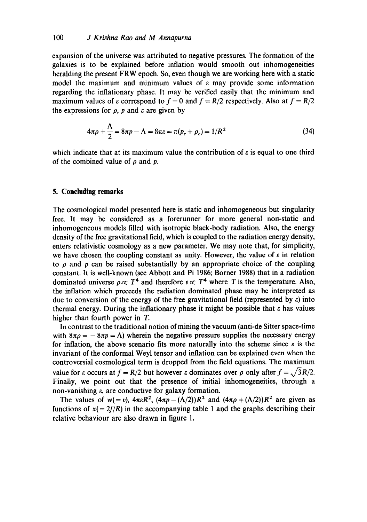expansion of the universe was attributed to negative pressures. The formation of the galaxies is to be explained before inflation would smooth out inhomogeneities heralding the present FRW epoch. So, even though we are working here with a static model the maximum and minimum values of  $\varepsilon$  may provide some information regarding the inflationary phase. It may be verified easily that the minimum and maximum values of  $\varepsilon$  correspond to  $f = 0$  and  $f = R/2$  respectively. Also at  $f = R/2$ the expressions for  $\rho$ , p and  $\varepsilon$  are given by

$$
4\pi \rho + \frac{\Lambda}{2} = 8\pi p - \Lambda = 8\pi \varepsilon = \pi (p_c + \rho_c) = 1/R^2
$$
 (34)

which indicate that at its maximum value the contribution of  $\varepsilon$  is equal to one third of the combined value of  $\rho$  and  $p$ .

## **5. Concluding remarks**

The cosmological model presented here is static and inhomogeneous but singularity free. It may be considered as a forerunner for more general non-static and inhomogeneous models filled with isotropic black-body radiation. Also, the energy density of the free gravitational field, which is coupled to the radiation energy density, enters relativistic cosmology as a new parameter. We may note that, for simplicity, we have chosen the coupling constant as unity. However, the value of  $\varepsilon$  in relation to  $\rho$  and  $p$  can be raised substantially by an appropriate choice of the coupling constant. It is well-known (see Abbott and Pi 1986; Borner 1988) that in a radiation dominated universe  $\rho \propto T^4$  and therefore  $\varepsilon \propto T^4$  where T is the temperature. Also, the inflation which preceeds the radiation dominated phase may be interpreted as due to conversion of the energy of the free gravitational field (represented by  $\varepsilon$ ) into thermal energy. During the inflationary phase it might be possible that  $\varepsilon$  has values higher than fourth power in T.

In contrast to the traditional notion of mining the vacuum (anti-de Sitter space-time with  $8\pi\rho = -8\pi\rho = \Lambda$ ) wherein the negative pressure supplies the necessary energy for inflation, the above scenario fits more naturally into the scheme since  $\varepsilon$  is the invariant of the conformal Weyl tensor and inflation can be explained even when the controversial cosmological term is dropped from the field equations. The maximum value for  $\varepsilon$  occurs at  $f = R/2$  but however  $\varepsilon$  dominates over  $\rho$  only after  $f = \sqrt{3R/2}$ . Finally, we point out that the presence of initial inhomogeneities, through a non-vanishing  $\varepsilon$ , are conductive for galaxy formation.

The values of  $w(= v)$ ,  $4\pi \varepsilon R^2$ ,  $(4\pi p - (A/2))R^2$  and  $(4\pi \rho + (A/2))R^2$  are given as functions of  $x( = 2f/R)$  in the accompanying table 1 and the graphs describing their relative behaviour are also drawn in figure 1.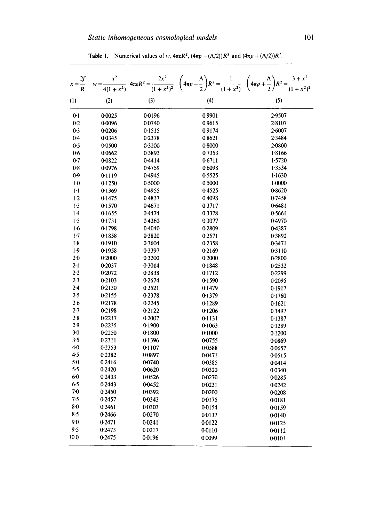| $x = \frac{2f}{R}$ |        |        |        | $w = \frac{x^2}{4(1+x^2)} \ 4\pi \varepsilon R^2 = \frac{2x^2}{(1+x^2)^2} \ \left(4\pi p - \frac{\Lambda}{2}\right) R^2 = \frac{1}{(1+x^2)} \ \left(4\pi \rho + \frac{\Lambda}{2}\right) R^2 = \frac{3+x^2}{(1+x^2)^2}$ |
|--------------------|--------|--------|--------|-------------------------------------------------------------------------------------------------------------------------------------------------------------------------------------------------------------------------|
| (1)                | (2)    | (3)    | (4)    | (5)                                                                                                                                                                                                                     |
| $0-1$              | 0.0025 | 00196  | 0.9901 | 2.9507                                                                                                                                                                                                                  |
| $0-2$              | 0.0096 | 00740  | 0.9615 | 2.8107                                                                                                                                                                                                                  |
| 0.3                | 0.0206 | 0.1515 | 0.9174 | 2.6007                                                                                                                                                                                                                  |
| 0.4                | 0.0345 | 0.2378 | 0.8621 | 2.3484                                                                                                                                                                                                                  |
| 0.5                | 0.0500 | 0.3200 | 0.8000 | 2.0800                                                                                                                                                                                                                  |
| 0.6                | 0.0662 | 0.3893 | 0.7353 | 1.8166                                                                                                                                                                                                                  |
| 0.7                | 0.0822 | 0.4414 | 0.6711 | 1.5720                                                                                                                                                                                                                  |
| 0.8                | 0.0976 | 0.4759 | 0.6098 | 1.3534                                                                                                                                                                                                                  |
| 0.9                | 0.1119 | 04945  | 0.5525 | 1.1630                                                                                                                                                                                                                  |
| $1-0$              | 0.1250 | 0.5000 | 0.5000 | $1 - 0000$                                                                                                                                                                                                              |
| $1-1$              | 0.1369 | 0.4955 | 0.4525 | 0.8620                                                                                                                                                                                                                  |
| $1-2$              | 0.1475 | 0.4837 | 0.4098 | 0.7458                                                                                                                                                                                                                  |
| 1.3                | 0.1570 | 0.4671 | 0.3717 | 0.6481                                                                                                                                                                                                                  |
| $1-4$              | 0.1655 | 0.4474 | 0.3378 | 0.5661                                                                                                                                                                                                                  |
| 1.5                | 0.1731 | 0.4260 | 0.3077 | 0.4970                                                                                                                                                                                                                  |
| 1.6                | 0.1798 | 0.4040 | 0.2809 | 0.4387                                                                                                                                                                                                                  |
| 1.7                | 0.1858 | 0.3820 | 0.2571 | 0.3892                                                                                                                                                                                                                  |
| 1.8                | 0.1910 | 0.3604 | 0.2358 | 0.3471                                                                                                                                                                                                                  |
| 1.9                | 0-1958 | 0.3397 | 0.2169 | 0.3110                                                                                                                                                                                                                  |
| $2 - 0$            | 0.2000 | 0.3200 | 0.2000 | 0.2800                                                                                                                                                                                                                  |
| 2·1                | 0.2037 | 0.3014 | 0.1848 | 0.2532                                                                                                                                                                                                                  |
| 2.2                | 0.2072 | 0.2838 | 0.1712 | 0.2299                                                                                                                                                                                                                  |
| 2.3                | 0.2103 | 0.2674 | 0.1590 | 0.2095                                                                                                                                                                                                                  |
| 2.4                | 0.2130 | 0.2521 | 01479  | 0.1917                                                                                                                                                                                                                  |
| 2.5                | 0.2155 | 0.2378 | 0.1379 | 0.1760                                                                                                                                                                                                                  |
| 2.6                | 0.2178 | 0.2245 | 0.1289 | 0.1621                                                                                                                                                                                                                  |
| 2.7                | 0.2198 | 0.2122 | 0.1206 | 0.1497                                                                                                                                                                                                                  |
| 2.8                | 0.2217 | 0.2007 | 0.1131 | 0.1387                                                                                                                                                                                                                  |
| 2.9                | 0.2235 | 0.1900 | 0.1063 | 0.1289                                                                                                                                                                                                                  |
| $3-0$              | 0.2250 | 0.1800 | 0.1000 | 0.1200                                                                                                                                                                                                                  |
| 3.5                | 0.2311 | 0.1396 | 00755  | 0.0869                                                                                                                                                                                                                  |
| 4.0                | 0.2353 | 0.1107 | 00588  | 0.0657                                                                                                                                                                                                                  |
| 4.5                | 0.2382 | 0.0897 | 0.0471 | 0.0515                                                                                                                                                                                                                  |
| $5-0$              | 0.2416 | 00740  | 0.0385 | 0.0414                                                                                                                                                                                                                  |
| 5.5                | 0.2420 | 0.0620 | 0.0320 | 0.0340                                                                                                                                                                                                                  |
| $6-0$              | 0.2433 | 0.0526 | 0.0270 | 0.0285                                                                                                                                                                                                                  |
| 6.5                | 0.2443 | 0.0452 | 0.0231 | 0.0242                                                                                                                                                                                                                  |
| 70                 | 0.2450 | 0.0392 | 0.0200 | 0.0208                                                                                                                                                                                                                  |
| 7.5                | 0.2457 | 0.0343 | 0.0175 | 0.0181                                                                                                                                                                                                                  |
| $8-0$              | 0.2461 | 0.0303 | 0.0154 | 0.0159                                                                                                                                                                                                                  |
| 8.5                | 0.2466 | 0.0270 | 0.0137 | 0.0140                                                                                                                                                                                                                  |
| $9-0$              | 0.2471 | 0.0241 | 0.0122 | 0.0125                                                                                                                                                                                                                  |
| 9.5                | 0.2473 | 0.0217 | 0.0110 | 0.0112                                                                                                                                                                                                                  |
| $10-0$             | 0.2475 | 0.0196 | 0.0099 | 0.0101                                                                                                                                                                                                                  |

Table 1. Numerical values of *w*,  $4\pi \varepsilon R^2$ ,  $(4\pi p - (\Lambda/2))R^2$  and  $(4\pi \rho + (\Lambda/2))R^2$ .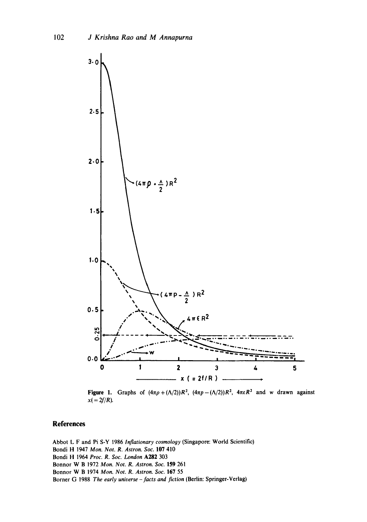

**Figure 1.** Graphs of  $(4\pi\rho + (\Lambda/2))R^2$ ,  $(4\pi\rho - (\Lambda/2))R^2$ ,  $4\pi\varepsilon R^2$  and w drawn against  $x(=2f/R).$ 

### References

Abbot L F and Pi S-Y 1986 *Inflationary cosmology* (Singapore: World Scientific) Bondi H 1947 Mon. Not. R. Astron. Soc. 107 410 Bondi H 1964 *Proc. R. Soc. London* A282 303 Bonnor W B 1972 *Mon. Not. R. Astron. Soc.* 159 261 Bonnor W B 1974 *Mon. Not. R. Astron. Soc.* 167 55 Borner G 1988 *The early universe- facts and fiction* (Berlin: Springer-Verlag)